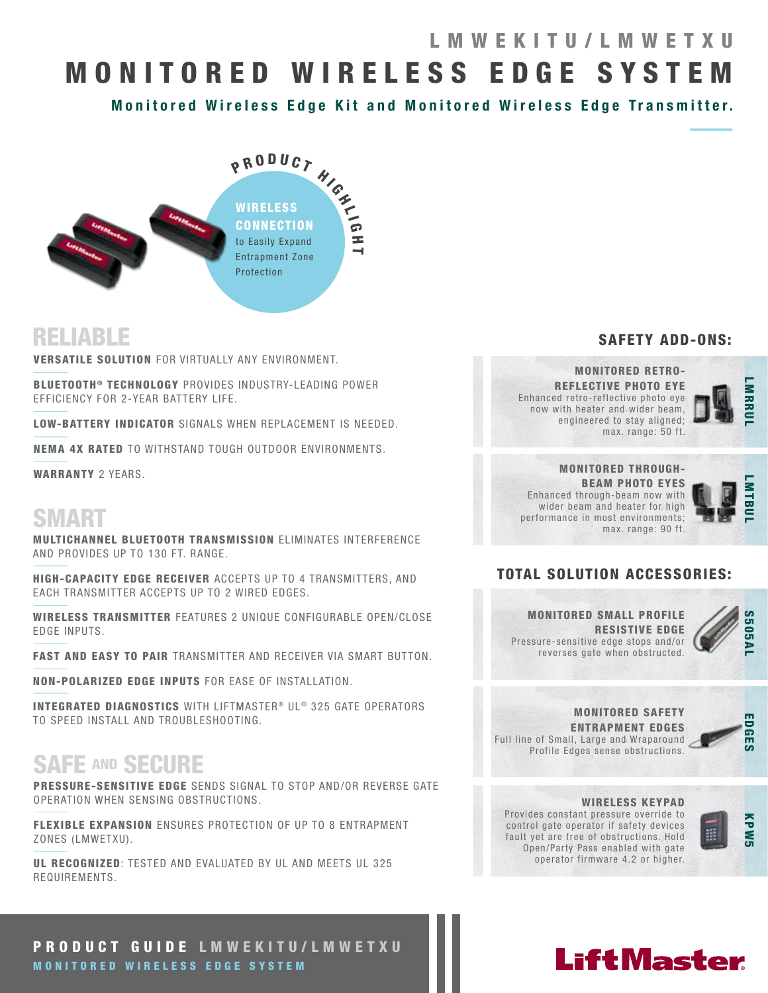# MONITORED WIRELESS EDGE SYSTEM LMWEKITU/LMWETXU

Monitored Wireless Edge Kit and Monitored Wireless Edge Transmitter.



## RELIABLE

VERSATILE SOLUTION FOR VIRTUALLY ANY ENVIRONMENT.

BLUETOOTH<sup>®</sup> TECHNOLOGY PROVIDES INDUSTRY-LEADING POWER EFFICIENCY FOR 2-YEAR BATTERY LIFE.

LOW-BATTERY INDICATOR SIGNALS WHEN REPLACEMENT IS NEEDED.

NEMA 4X RATED TO WITHSTAND TOUGH OUTDOOR ENVIRONMENTS.

WARRANTY 2 YEARS.

# **SMART**

MULTICHANNEL BLUETOOTH TRANSMISSION ELIMINATES INTERFERENCE AND PROVIDES UP TO 130 FT. RANGE.

HIGH-CAPACITY EDGE RECEIVER ACCEPTS UP TO 4 TRANSMITTERS, AND EACH TRANSMITTER ACCEPTS UP TO 2 WIRED EDGES.

WIRELESS TRANSMITTER FEATURES 2 UNIQUE CONFIGURABLE OPEN/CLOSE EDGE INPUTS.

FAST AND EASY TO PAIR TRANSMITTER AND RECEIVER VIA SMART BUTTON.

NON-POLARIZED EDGE INPUTS FOR EASE OF INSTALLATION.

INTEGRATED DIAGNOSTICS WITH LIFTMASTER® UL® 325 GATE OPERATORS TO SPEED INSTALL AND TROUBLESHOOTING.

# SAFE AND SECURE

PRESSURE-SENSITIVE EDGE SENDS SIGNAL TO STOP AND/OR REVERSE GATE OPERATION WHEN SENSING OBSTRUCTIONS.

FLEXIBLE EXPANSION ENSURES PROTECTION OF UP TO 8 ENTRAPMENT ZONES (LMWETXU).

UL RECOGNIZED: TESTED AND EVALUATED BY UL AND MEETS UL 325 REQUIREMENTS.

### SAFETY ADD-ONS:

MONITORED RETRO-REFLECTIVE PHOTO EYE Enhanced retro-reflective photo eye now with heater and wider beam, engineered to stay aligned; max. range: 50 ft.



#### MONITORED THROUGH-BEAM PHOTO EYES Enhanced through-beam now with wider beam and heater for high performance in most environments; max. range: 90 ft.



### TOTAL SOLUTION ACCESSORIES:

MONITORED SMALL PROFILE RESISTIVE EDGE Pressure-sensitive edge stops and/or reverses gate when obstructed.



MONITORED SAFETY ENTRAPMENT EDGES Full line of Small, Large and Wraparound Profile Edges sense obstructions.



#### WIRELESS KEYPAD

**LiftMaster** 

Provides constant pressure override to control gate operator if safety devices fault yet are free of obstructions. Hold Open/Party Pass enabled with gate operator firmware 4.2 or higher.



### PRODUCT GUIDE LMWEKITU/LMWETXU MONITORED WIRELESS EDGE SYSTEM